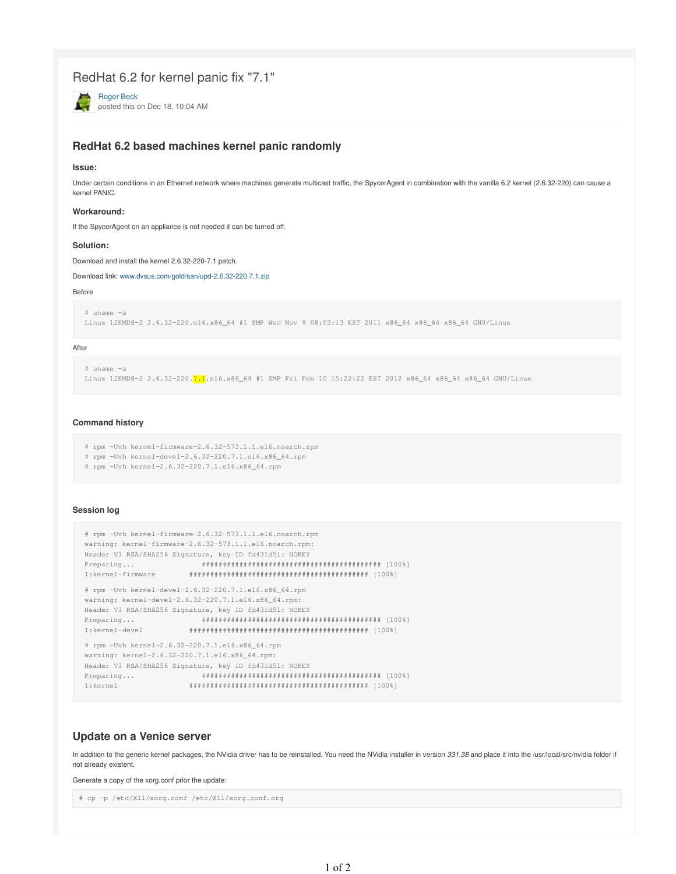# RedHat 6.2 for kernel panic fix "7.1"

Roger Beck posted this on Dec 18, 10:04 AM

# **RedHat 6.2 based machines kernel panic randomly**

### **Issue:**

Under certain conditions in an Ethernet network where machines generate multicast traffic, the SpycerAgent in combination with the vanilla 6.2 kernel (2.6.32-220) can cause a kernel PANIC.

### **Workaround:**

If the SpycerAgent on an appliance is not needed it can be turned off.

### **Solution:**

Download and install the kernel 2.6.32-220-7.1 patch.

Download link: www.dvsus.com/gold/san/upd-2.6.32-220.7.1.zip

### Before

```
# uname -a
Linux 12KMDS-2 2.6.32-220.el6.x86_64 #1 SMP Wed Nov 9 08:03:13 EST 2011 x86_64 x86_64 x86_64 GNU/Linux
```
### After

```
# uname -aLinux 12KMDS-2 2.6.32-220.7.1.el6.x86_64 #1 SMP Fri Feb 10 15:22:22 EST 2012 x86_64 x86_64 x86_64 GNU/Linux
```
### **Command history**

- # rpm -Uvh kernel-firmware-2.6.32-573.1.1.el6.noarch.rpm
- # rpm -Uvh kernel-devel-2.6.32-220.7.1.el6.x86\_64.rpm
- # rpm -Uvh kernel-2.6.32-220.7.1.el6.x86\_64.rpm

### **Session log**

```
# rpm -Uvh kernel-firmware-2.6.32-573.1.1.el6.noarch.rpm
warning: kernel-firmware-2.6.32-573.1.1.el6.noarch.rpm:
Header V3 RSA/SHA256 Signature, key ID fd431d51: NOKEY
Preparing... ########################################### [100%] 
1:kernel-firmware ########################################### [100%]
# rpm -Uvh kernel-devel-2.6.32-220.7.1.el6.x86_64.rpm
warning: kernel-devel-2.6.32-220.7.1.el6.x86_64.rpm:
Header V3 RSA/SHA256 Signature, key ID fd431d51: NOKEY
Preparing... ########################################### [100%] 
1:kernel-devel ########################################### [100%]
# rpm -Uvh kernel-2.6.32-220.7.1.el6.x86_64.rpm
warning: kernel-2.6.32-220.7.1.el6.x86_64.rpm:
Header V3 RSA/SHA256 Signature, key ID fd431d51: NOKEY
 Preparing... ########################################### [100%]
```
1:kernel ########################################### [100%]

## **Update on a Venice server**

In addition to the generic kernel packages, the NVidia driver has to be reinstalled. You need the NVidia installer in version 331.38 and place it into the /usr/local/src/nvidia folder if not already existent.

Generate a copy of the xorg.conf prior the update:

```
# cp -p /etc/X11/xorg.conf /etc/X11/xorg.conf.org
```